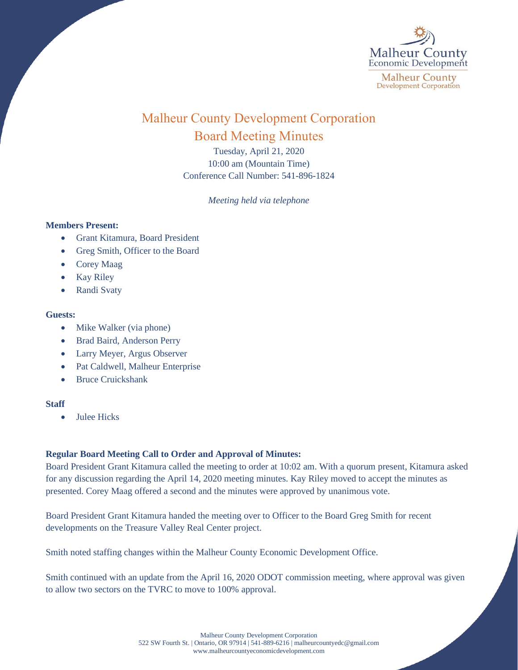

# Malheur County Development Corporation Board Meeting Minutes

Tuesday, April 21, 2020 10:00 am (Mountain Time) Conference Call Number: 541-896-1824

*Meeting held via telephone*

### **Members Present:**

- Grant Kitamura, Board President
- Greg Smith, Officer to the Board
- Corey Maag
- Kay Riley
- Randi Svaty

## **Guests:**

- Mike Walker (via phone)
- Brad Baird, Anderson Perry
- Larry Meyer, Argus Observer
- Pat Caldwell, Malheur Enterprise
- Bruce Cruickshank

### **Staff**

• Julee Hicks

## **Regular Board Meeting Call to Order and Approval of Minutes:**

Board President Grant Kitamura called the meeting to order at 10:02 am. With a quorum present, Kitamura asked for any discussion regarding the April 14, 2020 meeting minutes. Kay Riley moved to accept the minutes as presented. Corey Maag offered a second and the minutes were approved by unanimous vote.

Board President Grant Kitamura handed the meeting over to Officer to the Board Greg Smith for recent developments on the Treasure Valley Real Center project.

Smith noted staffing changes within the Malheur County Economic Development Office.

Smith continued with an update from the April 16, 2020 ODOT commission meeting, where approval was given to allow two sectors on the TVRC to move to 100% approval.